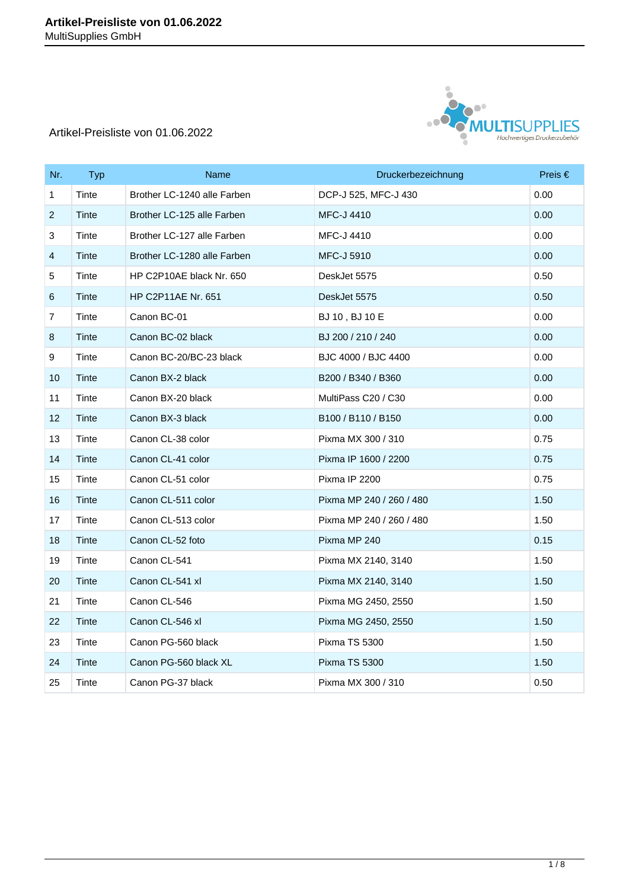

| Nr.                       | <b>Typ</b>   | Name                        | Druckerbezeichnung                                     | Preis $\in$ |
|---------------------------|--------------|-----------------------------|--------------------------------------------------------|-------------|
| $\mathbf{1}$              | Tinte        | Brother LC-1240 alle Farben | DCP-J 525, MFC-J 430                                   | 0.00        |
| $\overline{2}$            | Tinte        | Brother LC-125 alle Farben  | <b>MFC-J 4410</b>                                      | 0.00        |
| $\ensuremath{\mathsf{3}}$ | Tinte        | Brother LC-127 alle Farben  | <b>MFC-J 4410</b>                                      | 0.00        |
| 4                         | Tinte        | Brother LC-1280 alle Farben | <b>MFC-J 5910</b>                                      | 0.00        |
| 5                         | Tinte        | HP C2P10AE black Nr. 650    | DeskJet 5575                                           | 0.50        |
| 6                         | Tinte        | <b>HP C2P11AE Nr. 651</b>   | DeskJet 5575                                           | 0.50        |
| $\overline{7}$            | Tinte        | Canon BC-01                 | BJ 10, BJ 10 E                                         | 0.00        |
| 8                         | Tinte        | Canon BC-02 black           | BJ 200 / 210 / 240                                     | 0.00        |
| 9                         | Tinte        | Canon BC-20/BC-23 black     | BJC 4000 / BJC 4400                                    | 0.00        |
| 10                        | Tinte        | Canon BX-2 black            | B200 / B340 / B360                                     | 0.00        |
| 11                        | Tinte        | Canon BX-20 black           | MultiPass C20 / C30                                    | 0.00        |
| 12                        | <b>Tinte</b> | Canon BX-3 black            | B <sub>100</sub> / B <sub>110</sub> / B <sub>150</sub> | 0.00        |
| 13                        | Tinte        | Canon CL-38 color           | Pixma MX 300 / 310                                     | 0.75        |
| 14                        | Tinte        | Canon CL-41 color           | Pixma IP 1600 / 2200                                   | 0.75        |
| 15                        | Tinte        | Canon CL-51 color           | Pixma IP 2200                                          | 0.75        |
| 16                        | Tinte        | Canon CL-511 color          | Pixma MP 240 / 260 / 480                               | 1.50        |
| 17                        | Tinte        | Canon CL-513 color          | Pixma MP 240 / 260 / 480                               | 1.50        |
| 18                        | Tinte        | Canon CL-52 foto            | Pixma MP 240                                           | 0.15        |
| 19                        | Tinte        | Canon CL-541                | Pixma MX 2140, 3140                                    | 1.50        |
| 20                        | Tinte        | Canon CL-541 xl             | Pixma MX 2140, 3140                                    | 1.50        |
| 21                        | Tinte        | Canon CL-546                | Pixma MG 2450, 2550                                    | 1.50        |
| 22                        | Tinte        | Canon CL-546 xl             | Pixma MG 2450, 2550                                    | 1.50        |
| 23                        | Tinte        | Canon PG-560 black          | <b>Pixma TS 5300</b>                                   | 1.50        |
| 24                        | Tinte        | Canon PG-560 black XL       | <b>Pixma TS 5300</b>                                   | 1.50        |
| 25                        | Tinte        | Canon PG-37 black           | Pixma MX 300 / 310                                     | 0.50        |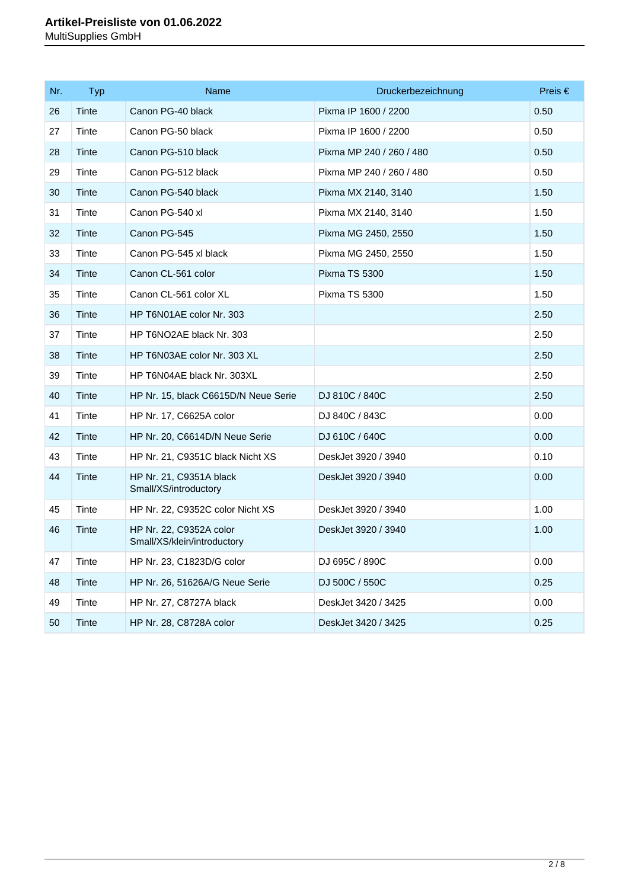| Nr. | <b>Typ</b> | Name                                                   | Druckerbezeichnung       | Preis $\in$ |
|-----|------------|--------------------------------------------------------|--------------------------|-------------|
| 26  | Tinte      | Canon PG-40 black                                      | Pixma IP 1600 / 2200     | 0.50        |
| 27  | Tinte      | Canon PG-50 black                                      | Pixma IP 1600 / 2200     | 0.50        |
| 28  | Tinte      | Canon PG-510 black                                     | Pixma MP 240 / 260 / 480 | 0.50        |
| 29  | Tinte      | Canon PG-512 black                                     | Pixma MP 240 / 260 / 480 | 0.50        |
| 30  | Tinte      | Canon PG-540 black                                     | Pixma MX 2140, 3140      | 1.50        |
| 31  | Tinte      | Canon PG-540 xl                                        | Pixma MX 2140, 3140      | 1.50        |
| 32  | Tinte      | Canon PG-545                                           | Pixma MG 2450, 2550      | 1.50        |
| 33  | Tinte      | Canon PG-545 xl black                                  | Pixma MG 2450, 2550      | 1.50        |
| 34  | Tinte      | Canon CL-561 color                                     | Pixma TS 5300            | 1.50        |
| 35  | Tinte      | Canon CL-561 color XL                                  | Pixma TS 5300            | 1.50        |
| 36  | Tinte      | HP T6N01AE color Nr. 303                               |                          | 2.50        |
| 37  | Tinte      | HP T6NO2AE black Nr. 303                               |                          | 2.50        |
| 38  | Tinte      | HP T6N03AE color Nr. 303 XL                            |                          | 2.50        |
| 39  | Tinte      | HP T6N04AE black Nr. 303XL                             |                          | 2.50        |
| 40  | Tinte      | HP Nr. 15, black C6615D/N Neue Serie                   | DJ 810C / 840C           | 2.50        |
| 41  | Tinte      | HP Nr. 17, C6625A color                                | DJ 840C / 843C           | 0.00        |
| 42  | Tinte      | HP Nr. 20, C6614D/N Neue Serie                         | DJ 610C / 640C           | 0.00        |
| 43  | Tinte      | HP Nr. 21, C9351C black Nicht XS                       | DeskJet 3920 / 3940      | 0.10        |
| 44  | Tinte      | HP Nr. 21, C9351A black<br>Small/XS/introductory       | DeskJet 3920 / 3940      | 0.00        |
| 45  | Tinte      | HP Nr. 22, C9352C color Nicht XS                       | DeskJet 3920 / 3940      | 1.00        |
| 46  | Tinte      | HP Nr. 22, C9352A color<br>Small/XS/klein/introductory | DeskJet 3920 / 3940      | 1.00        |
| 47  | Tinte      | HP Nr. 23, C1823D/G color                              | DJ 695C / 890C           | 0.00        |
| 48  | Tinte      | HP Nr. 26, 51626A/G Neue Serie                         | DJ 500C / 550C           | 0.25        |
| 49  | Tinte      | HP Nr. 27, C8727A black                                | DeskJet 3420 / 3425      | 0.00        |
| 50  | Tinte      | HP Nr. 28, C8728A color                                | DeskJet 3420 / 3425      | 0.25        |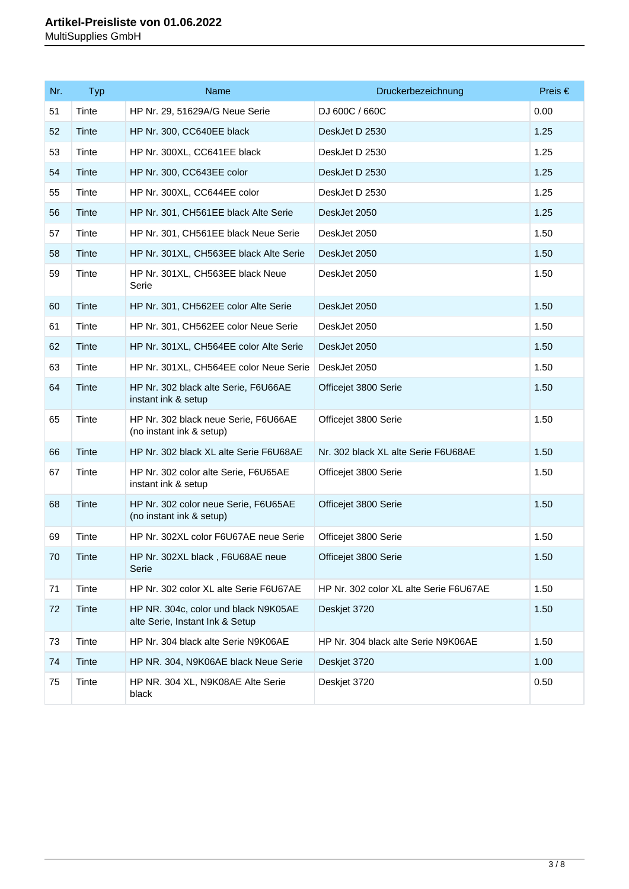| Nr. | <b>Typ</b> | Name                                                                    | Druckerbezeichnung                     | Preis $\in$ |
|-----|------------|-------------------------------------------------------------------------|----------------------------------------|-------------|
| 51  | Tinte      | HP Nr. 29, 51629A/G Neue Serie                                          | DJ 600C / 660C                         | 0.00        |
| 52  | Tinte      | HP Nr. 300, CC640EE black                                               | DeskJet D 2530                         | 1.25        |
| 53  | Tinte      | HP Nr. 300XL, CC641EE black                                             | DeskJet D 2530                         | 1.25        |
| 54  | Tinte      | HP Nr. 300, CC643EE color                                               | DeskJet D 2530                         | 1.25        |
| 55  | Tinte      | HP Nr. 300XL, CC644EE color                                             | DeskJet D 2530                         | 1.25        |
| 56  | Tinte      | HP Nr. 301, CH561EE black Alte Serie                                    | DeskJet 2050                           | 1.25        |
| 57  | Tinte      | HP Nr. 301, CH561EE black Neue Serie                                    | DeskJet 2050                           | 1.50        |
| 58  | Tinte      | HP Nr. 301XL, CH563EE black Alte Serie                                  | DeskJet 2050                           | 1.50        |
| 59  | Tinte      | HP Nr. 301XL, CH563EE black Neue<br>Serie                               | DeskJet 2050                           | 1.50        |
| 60  | Tinte      | HP Nr. 301, CH562EE color Alte Serie                                    | DeskJet 2050                           | 1.50        |
| 61  | Tinte      | HP Nr. 301, CH562EE color Neue Serie                                    | DeskJet 2050                           | 1.50        |
| 62  | Tinte      | HP Nr. 301XL, CH564EE color Alte Serie                                  | DeskJet 2050                           | 1.50        |
| 63  | Tinte      | HP Nr. 301XL, CH564EE color Neue Serie                                  | DeskJet 2050                           | 1.50        |
| 64  | Tinte      | HP Nr. 302 black alte Serie, F6U66AE<br>instant ink & setup             | Officejet 3800 Serie                   | 1.50        |
| 65  | Tinte      | HP Nr. 302 black neue Serie, F6U66AE<br>(no instant ink & setup)        | Officejet 3800 Serie                   | 1.50        |
| 66  | Tinte      | HP Nr. 302 black XL alte Serie F6U68AE                                  | Nr. 302 black XL alte Serie F6U68AE    | 1.50        |
| 67  | Tinte      | HP Nr. 302 color alte Serie, F6U65AE<br>instant ink & setup             | Officejet 3800 Serie                   | 1.50        |
| 68  | Tinte      | HP Nr. 302 color neue Serie, F6U65AE<br>(no instant ink & setup)        | Officejet 3800 Serie                   | 1.50        |
| 69  | Tinte      | HP Nr. 302XL color F6U67AE neue Serie                                   | Officejet 3800 Serie                   | 1.50        |
| 70  | Tinte      | HP Nr. 302XL black, F6U68AE neue<br>Serie                               | Officejet 3800 Serie                   | 1.50        |
| 71  | Tinte      | HP Nr. 302 color XL alte Serie F6U67AE                                  | HP Nr. 302 color XL alte Serie F6U67AE | 1.50        |
| 72  | Tinte      | HP NR. 304c, color und black N9K05AE<br>alte Serie, Instant Ink & Setup | Deskjet 3720                           | 1.50        |
| 73  | Tinte      | HP Nr. 304 black alte Serie N9K06AE                                     | HP Nr. 304 black alte Serie N9K06AE    | 1.50        |
| 74  | Tinte      | HP NR. 304, N9K06AE black Neue Serie                                    | Deskjet 3720                           | 1.00        |
| 75  | Tinte      | HP NR. 304 XL, N9K08AE Alte Serie<br>black                              | Deskjet 3720                           | 0.50        |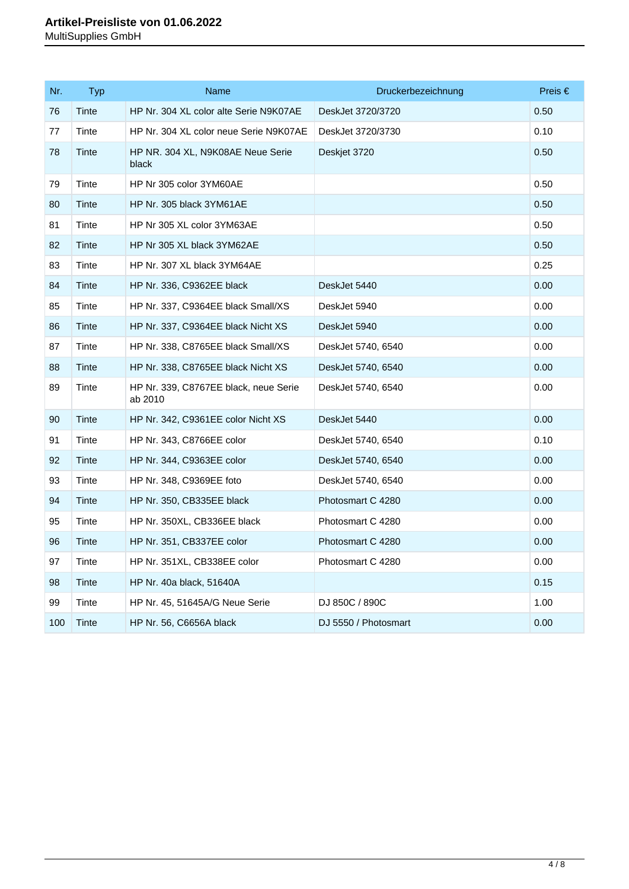| Nr. | <b>Typ</b> | Name                                             | Druckerbezeichnung   | Preis $\in$ |
|-----|------------|--------------------------------------------------|----------------------|-------------|
| 76  | Tinte      | HP Nr. 304 XL color alte Serie N9K07AE           | DeskJet 3720/3720    | 0.50        |
| 77  | Tinte      | HP Nr. 304 XL color neue Serie N9K07AE           | DeskJet 3720/3730    | 0.10        |
| 78  | Tinte      | HP NR. 304 XL, N9K08AE Neue Serie<br>black       | Deskjet 3720         | 0.50        |
| 79  | Tinte      | HP Nr 305 color 3YM60AE                          |                      | 0.50        |
| 80  | Tinte      | HP Nr. 305 black 3YM61AE                         |                      | 0.50        |
| 81  | Tinte      | HP Nr 305 XL color 3YM63AE                       |                      | 0.50        |
| 82  | Tinte      | HP Nr 305 XL black 3YM62AE                       |                      | 0.50        |
| 83  | Tinte      | HP Nr. 307 XL black 3YM64AE                      |                      | 0.25        |
| 84  | Tinte      | HP Nr. 336, C9362EE black                        | DeskJet 5440         | 0.00        |
| 85  | Tinte      | HP Nr. 337, C9364EE black Small/XS               | DeskJet 5940         | 0.00        |
| 86  | Tinte      | HP Nr. 337, C9364EE black Nicht XS               | DeskJet 5940         | 0.00        |
| 87  | Tinte      | HP Nr. 338, C8765EE black Small/XS               | DeskJet 5740, 6540   | 0.00        |
| 88  | Tinte      | HP Nr. 338, C8765EE black Nicht XS               | DeskJet 5740, 6540   | 0.00        |
| 89  | Tinte      | HP Nr. 339, C8767EE black, neue Serie<br>ab 2010 | DeskJet 5740, 6540   | 0.00        |
| 90  | Tinte      | HP Nr. 342, C9361EE color Nicht XS               | DeskJet 5440         | 0.00        |
| 91  | Tinte      | HP Nr. 343, C8766EE color                        | DeskJet 5740, 6540   | 0.10        |
| 92  | Tinte      | HP Nr. 344, C9363EE color                        | DeskJet 5740, 6540   | 0.00        |
| 93  | Tinte      | HP Nr. 348, C9369EE foto                         | DeskJet 5740, 6540   | 0.00        |
| 94  | Tinte      | HP Nr. 350, CB335EE black                        | Photosmart C 4280    | 0.00        |
| 95  | Tinte      | HP Nr. 350XL, CB336EE black                      | Photosmart C 4280    | 0.00        |
| 96  | Tinte      | HP Nr. 351, CB337EE color                        | Photosmart C 4280    | 0.00        |
| 97  | Tinte      | HP Nr. 351XL, CB338EE color                      | Photosmart C 4280    | 0.00        |
| 98  | Tinte      | HP Nr. 40a black, 51640A                         |                      | 0.15        |
| 99  | Tinte      | HP Nr. 45, 51645A/G Neue Serie                   | DJ 850C / 890C       | 1.00        |
| 100 | Tinte      | HP Nr. 56, C6656A black                          | DJ 5550 / Photosmart | 0.00        |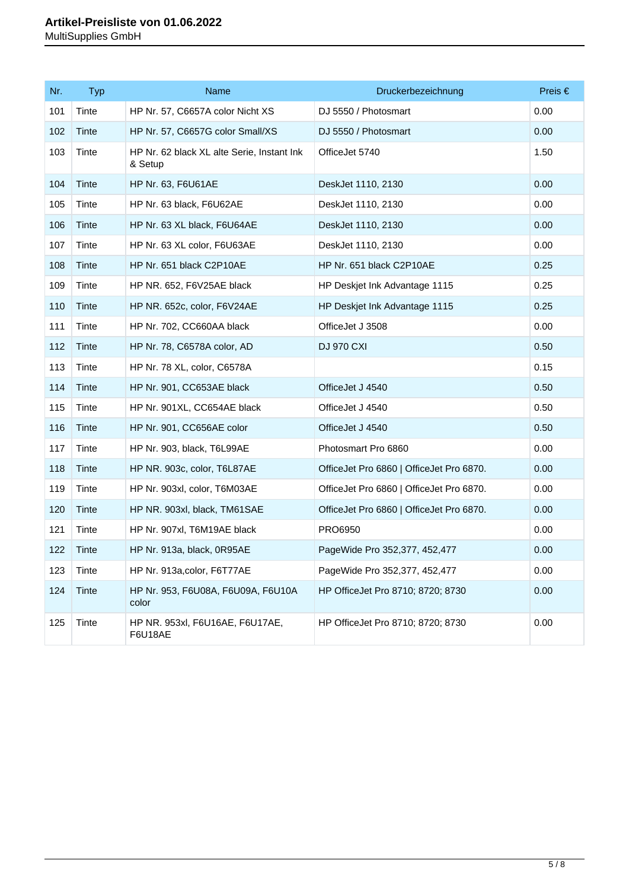| Nr. | <b>Typ</b> | Name                                                  | Druckerbezeichnung                       | Preis $\in$ |
|-----|------------|-------------------------------------------------------|------------------------------------------|-------------|
| 101 | Tinte      | HP Nr. 57, C6657A color Nicht XS                      | DJ 5550 / Photosmart                     | 0.00        |
| 102 | Tinte      | HP Nr. 57, C6657G color Small/XS                      | DJ 5550 / Photosmart                     | 0.00        |
| 103 | Tinte      | HP Nr. 62 black XL alte Serie, Instant Ink<br>& Setup | OfficeJet 5740                           | 1.50        |
| 104 | Tinte      | HP Nr. 63, F6U61AE                                    | DeskJet 1110, 2130                       | 0.00        |
| 105 | Tinte      | HP Nr. 63 black, F6U62AE                              | DeskJet 1110, 2130                       | 0.00        |
| 106 | Tinte      | HP Nr. 63 XL black, F6U64AE                           | DeskJet 1110, 2130                       | 0.00        |
| 107 | Tinte      | HP Nr. 63 XL color, F6U63AE                           | DeskJet 1110, 2130                       | 0.00        |
| 108 | Tinte      | HP Nr. 651 black C2P10AE                              | HP Nr. 651 black C2P10AE                 | 0.25        |
| 109 | Tinte      | HP NR. 652, F6V25AE black                             | HP Deskjet Ink Advantage 1115            | 0.25        |
| 110 | Tinte      | HP NR. 652c, color, F6V24AE                           | HP Deskjet Ink Advantage 1115            | 0.25        |
| 111 | Tinte      | HP Nr. 702, CC660AA black                             | OfficeJet J 3508                         | 0.00        |
| 112 | Tinte      | HP Nr. 78, C6578A color, AD                           | <b>DJ 970 CXI</b>                        | 0.50        |
| 113 | Tinte      | HP Nr. 78 XL, color, C6578A                           |                                          | 0.15        |
| 114 | Tinte      | HP Nr. 901, CC653AE black                             | OfficeJet J 4540                         | 0.50        |
| 115 | Tinte      | HP Nr. 901XL, CC654AE black                           | OfficeJet J 4540                         | 0.50        |
| 116 | Tinte      | HP Nr. 901, CC656AE color                             | OfficeJet J 4540                         | 0.50        |
| 117 | Tinte      | HP Nr. 903, black, T6L99AE                            | Photosmart Pro 6860                      | 0.00        |
| 118 | Tinte      | HP NR. 903c, color, T6L87AE                           | OfficeJet Pro 6860   OfficeJet Pro 6870. | 0.00        |
| 119 | Tinte      | HP Nr. 903xl, color, T6M03AE                          | OfficeJet Pro 6860   OfficeJet Pro 6870. | 0.00        |
| 120 | Tinte      | HP NR. 903xl, black, TM61SAE                          | OfficeJet Pro 6860   OfficeJet Pro 6870. | 0.00        |
| 121 | Tinte      | HP Nr. 907xl, T6M19AE black                           | PRO6950                                  | 0.00        |
| 122 | Tinte      | HP Nr. 913a, black, 0R95AE                            | PageWide Pro 352,377, 452,477            | 0.00        |
| 123 | Tinte      | HP Nr. 913a, color, F6T77AE                           | PageWide Pro 352,377, 452,477            | 0.00        |
| 124 | Tinte      | HP Nr. 953, F6U08A, F6U09A, F6U10A<br>color           | HP OfficeJet Pro 8710; 8720; 8730        | 0.00        |
| 125 | Tinte      | HP NR. 953xl, F6U16AE, F6U17AE,<br><b>F6U18AE</b>     | HP OfficeJet Pro 8710; 8720; 8730        | 0.00        |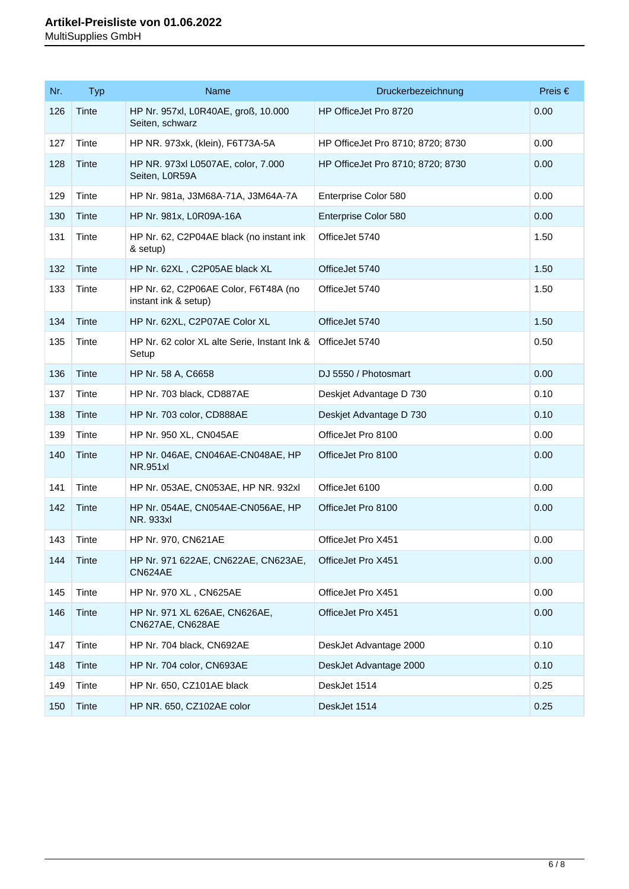| Nr. | <b>Typ</b> | <b>Name</b>                                                  | Druckerbezeichnung                | Preis $\in$ |
|-----|------------|--------------------------------------------------------------|-----------------------------------|-------------|
| 126 | Tinte      | HP Nr. 957xl, L0R40AE, groß, 10.000<br>Seiten, schwarz       | HP OfficeJet Pro 8720             | 0.00        |
| 127 | Tinte      | HP NR. 973xk, (klein), F6T73A-5A                             | HP OfficeJet Pro 8710; 8720; 8730 | 0.00        |
| 128 | Tinte      | HP NR. 973xl L0507AE, color, 7.000<br>Seiten, L0R59A         | HP OfficeJet Pro 8710; 8720; 8730 | 0.00        |
| 129 | Tinte      | HP Nr. 981a, J3M68A-71A, J3M64A-7A                           | Enterprise Color 580              | 0.00        |
| 130 | Tinte      | HP Nr. 981x, L0R09A-16A                                      | Enterprise Color 580              | 0.00        |
| 131 | Tinte      | HP Nr. 62, C2P04AE black (no instant ink<br>& setup)         | OfficeJet 5740                    | 1.50        |
| 132 | Tinte      | HP Nr. 62XL, C2P05AE black XL                                | OfficeJet 5740                    | 1.50        |
| 133 | Tinte      | HP Nr. 62, C2P06AE Color, F6T48A (no<br>instant ink & setup) | OfficeJet 5740                    | 1.50        |
| 134 | Tinte      | HP Nr. 62XL, C2P07AE Color XL                                | OfficeJet 5740                    | 1.50        |
| 135 | Tinte      | HP Nr. 62 color XL alte Serie, Instant Ink &<br>Setup        | OfficeJet 5740                    | 0.50        |
| 136 | Tinte      | HP Nr. 58 A, C6658                                           | DJ 5550 / Photosmart              | 0.00        |
| 137 | Tinte      | HP Nr. 703 black, CD887AE                                    | Deskjet Advantage D 730           | 0.10        |
| 138 | Tinte      | HP Nr. 703 color, CD888AE                                    | Deskjet Advantage D 730           | 0.10        |
| 139 | Tinte      | HP Nr. 950 XL, CN045AE                                       | OfficeJet Pro 8100                | 0.00        |
| 140 | Tinte      | HP Nr. 046AE, CN046AE-CN048AE, HP<br><b>NR.951xl</b>         | OfficeJet Pro 8100                | 0.00        |
| 141 | Tinte      | HP Nr. 053AE, CN053AE, HP NR. 932xl                          | OfficeJet 6100                    | 0.00        |
| 142 | Tinte      | HP Nr. 054AE, CN054AE-CN056AE, HP<br><b>NR. 933xl</b>        | OfficeJet Pro 8100                | 0.00        |
| 143 | Tinte      | HP Nr. 970, CN621AE                                          | OfficeJet Pro X451                | 0.00        |
| 144 | Tinte      | HP Nr. 971 622AE, CN622AE, CN623AE,<br>CN624AE               | OfficeJet Pro X451                | 0.00        |
| 145 | Tinte      | HP Nr. 970 XL, CN625AE                                       | OfficeJet Pro X451                | 0.00        |
| 146 | Tinte      | HP Nr. 971 XL 626AE, CN626AE,<br>CN627AE, CN628AE            | OfficeJet Pro X451                | 0.00        |
| 147 | Tinte      | HP Nr. 704 black, CN692AE                                    | DeskJet Advantage 2000            | 0.10        |
| 148 | Tinte      | HP Nr. 704 color, CN693AE                                    | DeskJet Advantage 2000            | 0.10        |
| 149 | Tinte      | HP Nr. 650, CZ101AE black                                    | DeskJet 1514                      | 0.25        |
| 150 | Tinte      | HP NR. 650, CZ102AE color                                    | DeskJet 1514                      | 0.25        |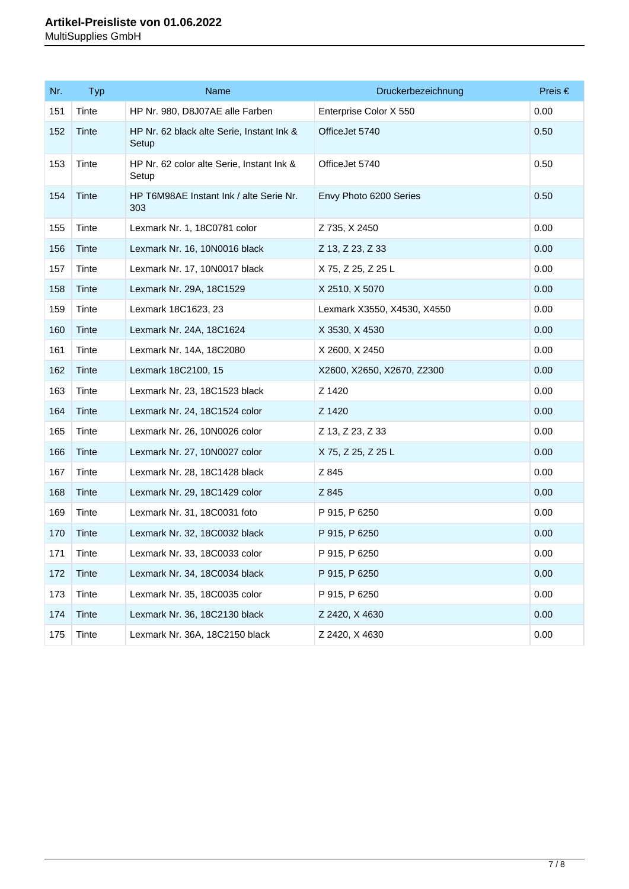| Nr. | <b>Typ</b> | Name                                               | Druckerbezeichnung          | Preis $\in$ |
|-----|------------|----------------------------------------------------|-----------------------------|-------------|
| 151 | Tinte      | HP Nr. 980, D8J07AE alle Farben                    | Enterprise Color X 550      | 0.00        |
| 152 | Tinte      | HP Nr. 62 black alte Serie, Instant Ink &<br>Setup | OfficeJet 5740              | 0.50        |
| 153 | Tinte      | HP Nr. 62 color alte Serie, Instant Ink &<br>Setup | OfficeJet 5740              | 0.50        |
| 154 | Tinte      | HP T6M98AE Instant Ink / alte Serie Nr.<br>303     | Envy Photo 6200 Series      | 0.50        |
| 155 | Tinte      | Lexmark Nr. 1, 18C0781 color                       | Z 735, X 2450               | 0.00        |
| 156 | Tinte      | Lexmark Nr. 16, 10N0016 black                      | Z 13, Z 23, Z 33            | 0.00        |
| 157 | Tinte      | Lexmark Nr. 17, 10N0017 black                      | X 75, Z 25, Z 25 L          | 0.00        |
| 158 | Tinte      | Lexmark Nr. 29A, 18C1529                           | X 2510, X 5070              | 0.00        |
| 159 | Tinte      | Lexmark 18C1623, 23                                | Lexmark X3550, X4530, X4550 | 0.00        |
| 160 | Tinte      | Lexmark Nr. 24A, 18C1624                           | X 3530, X 4530              | 0.00        |
| 161 | Tinte      | Lexmark Nr. 14A, 18C2080                           | X 2600, X 2450              | 0.00        |
| 162 | Tinte      | Lexmark 18C2100, 15                                | X2600, X2650, X2670, Z2300  | 0.00        |
| 163 | Tinte      | Lexmark Nr. 23, 18C1523 black                      | Z 1420                      | 0.00        |
| 164 | Tinte      | Lexmark Nr. 24, 18C1524 color                      | Z 1420                      | 0.00        |
| 165 | Tinte      | Lexmark Nr. 26, 10N0026 color                      | Z 13, Z 23, Z 33            | 0.00        |
| 166 | Tinte      | Lexmark Nr. 27, 10N0027 color                      | X 75, Z 25, Z 25 L          | 0.00        |
| 167 | Tinte      | Lexmark Nr. 28, 18C1428 black                      | Z 845                       | 0.00        |
| 168 | Tinte      | Lexmark Nr. 29, 18C1429 color                      | Z 845                       | 0.00        |
| 169 | Tinte      | Lexmark Nr. 31, 18C0031 foto                       | P 915, P 6250               | 0.00        |
| 170 | Tinte      | Lexmark Nr. 32, 18C0032 black                      | P 915, P 6250               | 0.00        |
| 171 | Tinte      | Lexmark Nr. 33, 18C0033 color                      | P 915, P 6250               | 0.00        |
| 172 | Tinte      | Lexmark Nr. 34, 18C0034 black                      | P 915, P 6250               | 0.00        |
| 173 | Tinte      | Lexmark Nr. 35, 18C0035 color                      | P 915, P 6250               | 0.00        |
| 174 | Tinte      | Lexmark Nr. 36, 18C2130 black                      | Z 2420, X 4630              | 0.00        |
| 175 | Tinte      | Lexmark Nr. 36A, 18C2150 black                     | Z 2420, X 4630              | 0.00        |